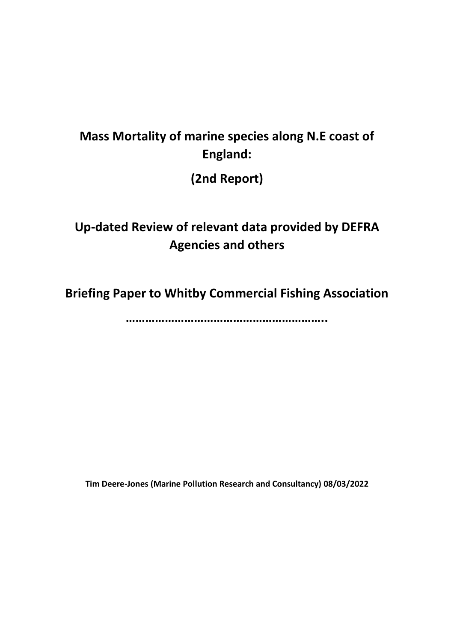# **Mass Mortality of marine species along N.E coast of England:**

**(2nd Report)**

# **Up-dated Review of relevant data provided by DEFRA Agencies and others**

**Briefing Paper to Whitby Commercial Fishing Association**

**……………………………………………………..**

**Tim Deere-Jones (Marine Pollution Research and Consultancy) 08/03/2022**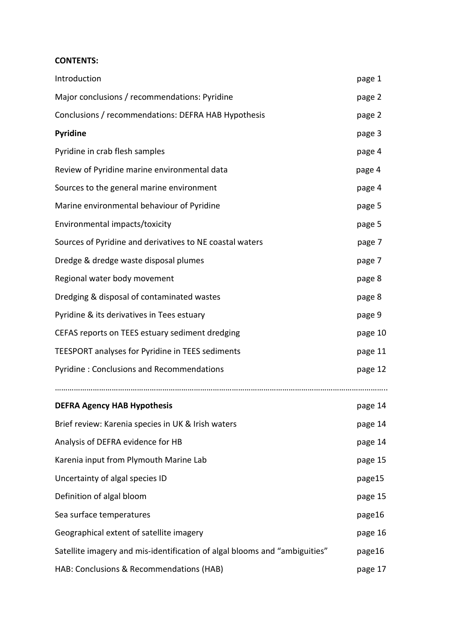#### **CONTENTS:**

| Introduction                                                               | page 1  |
|----------------------------------------------------------------------------|---------|
| Major conclusions / recommendations: Pyridine                              | page 2  |
| Conclusions / recommendations: DEFRA HAB Hypothesis                        | page 2  |
| Pyridine                                                                   | page 3  |
| Pyridine in crab flesh samples                                             | page 4  |
| Review of Pyridine marine environmental data                               | page 4  |
| Sources to the general marine environment                                  | page 4  |
| Marine environmental behaviour of Pyridine                                 | page 5  |
| Environmental impacts/toxicity                                             | page 5  |
| Sources of Pyridine and derivatives to NE coastal waters                   | page 7  |
| Dredge & dredge waste disposal plumes                                      | page 7  |
| Regional water body movement                                               | page 8  |
| Dredging & disposal of contaminated wastes                                 | page 8  |
| Pyridine & its derivatives in Tees estuary                                 | page 9  |
| CEFAS reports on TEES estuary sediment dredging                            | page 10 |
| TEESPORT analyses for Pyridine in TEES sediments                           | page 11 |
| Pyridine: Conclusions and Recommendations                                  | page 12 |
| <b>DEFRA Agency HAB Hypothesis</b>                                         | page 14 |
| Brief review: Karenia species in UK & Irish waters                         | page 14 |
| Analysis of DEFRA evidence for HB                                          | page 14 |
| Karenia input from Plymouth Marine Lab                                     | page 15 |
| Uncertainty of algal species ID                                            | page15  |
| Definition of algal bloom                                                  | page 15 |
| Sea surface temperatures                                                   | page16  |
| Geographical extent of satellite imagery                                   | page 16 |
| Satellite imagery and mis-identification of algal blooms and "ambiguities" | page16  |
| HAB: Conclusions & Recommendations (HAB)                                   | page 17 |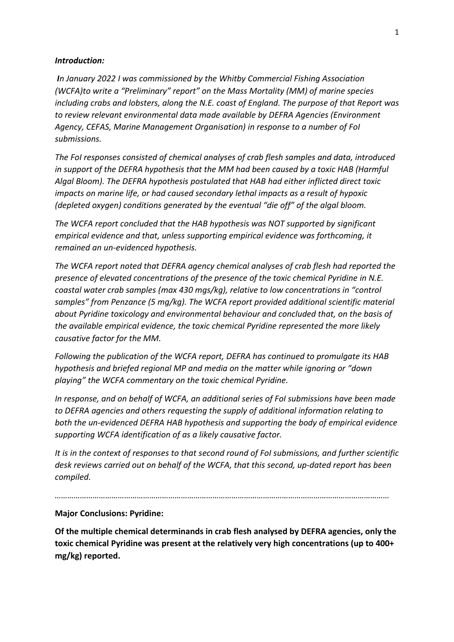#### *Introduction:*

*In January 2022 I was commissioned by the Whitby Commercial Fishing Association (WCFA)to write a "Preliminary" report" on the Mass Mortality (MM) of marine species including crabs and lobsters, along the N.E. coast of England. The purpose of that Report was to review relevant environmental data made available by DEFRA Agencies (Environment Agency, CEFAS, Marine Management Organisation) in response to a number of FoI submissions.* 

*The FoI responses consisted of chemical analyses of crab flesh samples and data, introduced in support of the DEFRA hypothesis that the MM had been caused by a toxic HAB (Harmful Algal Bloom). The DEFRA hypothesis postulated that HAB had either inflicted direct toxic impacts on marine life, or had caused secondary lethal impacts as a result of hypoxic (depleted oxygen) conditions generated by the eventual "die off" of the algal bloom.*

*The WCFA report concluded that the HAB hypothesis was NOT supported by significant empirical evidence and that, unless supporting empirical evidence was forthcoming, it remained an un-evidenced hypothesis.* 

*The WCFA report noted that DEFRA agency chemical analyses of crab flesh had reported the presence of elevated concentrations of the presence of the toxic chemical Pyridine in N.E. coastal water crab samples (max 430 mgs/kg), relative to low concentrations in "control samples" from Penzance (5 mg/kg). The WCFA report provided additional scientific material about Pyridine toxicology and environmental behaviour and concluded that, on the basis of the available empirical evidence, the toxic chemical Pyridine represented the more likely causative factor for the MM.*

*Following the publication of the WCFA report, DEFRA has continued to promulgate its HAB hypothesis and briefed regional MP and media on the matter while ignoring or "down playing" the WCFA commentary on the toxic chemical Pyridine.*

*In response, and on behalf of WCFA, an additional series of FoI submissions have been made to DEFRA agencies and others requesting the supply of additional information relating to both the un-evidenced DEFRA HAB hypothesis and supporting the body of empirical evidence supporting WCFA identification of as a likely causative factor.*

*It is in the context of responses to that second round of FoI submissions, and further scientific desk reviews carried out on behalf of the WCFA, that this second, up-dated report has been compiled.*

*……………………………………………………………………………………………………………………………………………*

**Major Conclusions: Pyridine:**

**Of the multiple chemical determinands in crab flesh analysed by DEFRA agencies, only the toxic chemical Pyridine was present at the relatively very high concentrations (up to 400+ mg/kg) reported.**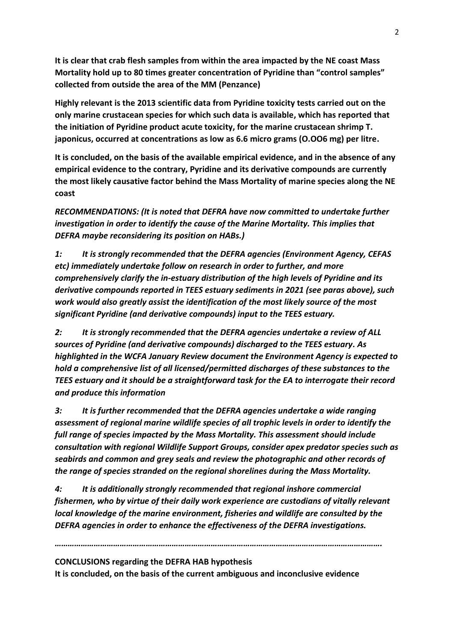**It is clear that crab flesh samples from within the area impacted by the NE coast Mass Mortality hold up to 80 times greater concentration of Pyridine than "control samples" collected from outside the area of the MM (Penzance)** 

**Highly relevant is the 2013 scientific data from Pyridine toxicity tests carried out on the only marine crustacean species for which such data is available, which has reported that the initiation of Pyridine product acute toxicity, for the marine crustacean shrimp T. japonicus, occurred at concentrations as low as 6.6 micro grams (O.OO6 mg) per litre.** 

**It is concluded, on the basis of the available empirical evidence, and in the absence of any empirical evidence to the contrary, Pyridine and its derivative compounds are currently the most likely causative factor behind the Mass Mortality of marine species along the NE coast** 

*RECOMMENDATIONS: (It is noted that DEFRA have now committed to undertake further investigation in order to identify the cause of the Marine Mortality. This implies that DEFRA maybe reconsidering its position on HABs.)* 

*1: It is strongly recommended that the DEFRA agencies (Environment Agency, CEFAS etc) immediately undertake follow on research in order to further, and more comprehensively clarify the in-estuary distribution of the high levels of Pyridine and its derivative compounds reported in TEES estuary sediments in 2021 (see paras above), such work would also greatly assist the identification of the most likely source of the most significant Pyridine (and derivative compounds) input to the TEES estuary.* 

*2: It is strongly recommended that the DEFRA agencies undertake a review of ALL sources of Pyridine (and derivative compounds) discharged to the TEES estuary. As highlighted in the WCFA January Review document the Environment Agency is expected to hold a comprehensive list of all licensed/permitted discharges of these substances to the TEES estuary and it should be a straightforward task for the EA to interrogate their record and produce this information* 

*3: It is further recommended that the DEFRA agencies undertake a wide ranging assessment of regional marine wildlife species of all trophic levels in order to identify the full range of species impacted by the Mass Mortality. This assessment should include consultation with regional Wildlife Support Groups, consider apex predator species such as seabirds and common and grey seals and review the photographic and other records of the range of species stranded on the regional shorelines during the Mass Mortality.* 

*4: It is additionally strongly recommended that regional inshore commercial fishermen, who by virtue of their daily work experience are custodians of vitally relevant local knowledge of the marine environment, fisheries and wildlife are consulted by the DEFRA agencies in order to enhance the effectiveness of the DEFRA investigations.* 

*…………………………………………………………………………………………………………………………………….*

**CONCLUSIONS regarding the DEFRA HAB hypothesis** 

**It is concluded, on the basis of the current ambiguous and inconclusive evidence**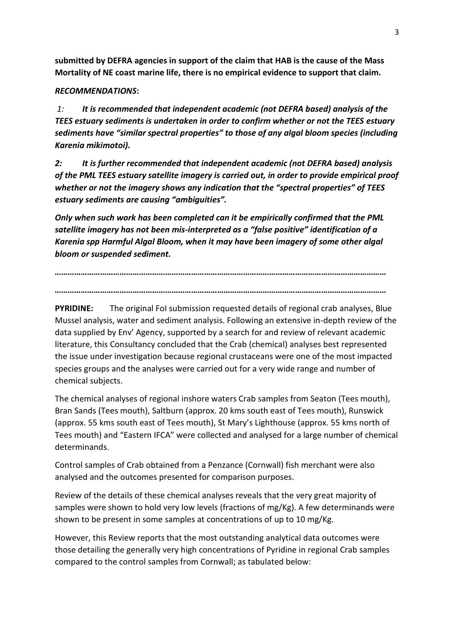**submitted by DEFRA agencies in support of the claim that HAB is the cause of the Mass Mortality of NE coast marine life, there is no empirical evidence to support that claim.**

#### *RECOMMENDATIONS***:**

*1: It is recommended that independent academic (not DEFRA based) analysis of the TEES estuary sediments is undertaken in order to confirm whether or not the TEES estuary sediments have "similar spectral properties" to those of any algal bloom species (including Karenia mikimotoi).* 

*2: It is further recommended that independent academic (not DEFRA based) analysis of the PML TEES estuary satellite imagery is carried out, in order to provide empirical proof whether or not the imagery shows any indication that the "spectral properties" of TEES estuary sediments are causing "ambiguities".* 

*Only when such work has been completed can it be empirically confirmed that the PML satellite imagery has not been mis-interpreted as a "false positive" identification of a Karenia spp Harmful Algal Bloom, when it may have been imagery of some other algal bloom or suspended sediment.*

*……………………………………………………………………………………………………………………………………… ………………………………………………………………………………………………………………………………………*

**PYRIDINE:** The original FoI submission requested details of regional crab analyses, Blue Mussel analysis, water and sediment analysis. Following an extensive in-depth review of the data supplied by Env' Agency, supported by a search for and review of relevant academic literature, this Consultancy concluded that the Crab (chemical) analyses best represented the issue under investigation because regional crustaceans were one of the most impacted species groups and the analyses were carried out for a very wide range and number of chemical subjects.

The chemical analyses of regional inshore waters Crab samples from Seaton (Tees mouth), Bran Sands (Tees mouth), Saltburn (approx. 20 kms south east of Tees mouth), Runswick (approx. 55 kms south east of Tees mouth), St Mary's Lighthouse (approx. 55 kms north of Tees mouth) and "Eastern IFCA" were collected and analysed for a large number of chemical determinands.

Control samples of Crab obtained from a Penzance (Cornwall) fish merchant were also analysed and the outcomes presented for comparison purposes.

Review of the details of these chemical analyses reveals that the very great majority of samples were shown to hold very low levels (fractions of mg/Kg). A few determinands were shown to be present in some samples at concentrations of up to 10 mg/Kg.

However, this Review reports that the most outstanding analytical data outcomes were those detailing the generally very high concentrations of Pyridine in regional Crab samples compared to the control samples from Cornwall; as tabulated below: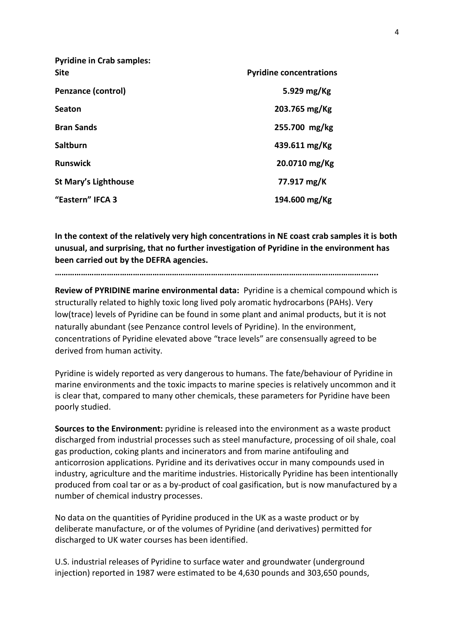| <b>Pyridine in Crab samples:</b> |                                |
|----------------------------------|--------------------------------|
| <b>Site</b>                      | <b>Pyridine concentrations</b> |
| <b>Penzance (control)</b>        | 5.929 $mg/Kg$                  |
| <b>Seaton</b>                    | 203.765 mg/Kg                  |
| <b>Bran Sands</b>                | 255.700 mg/kg                  |
| <b>Saltburn</b>                  | 439.611 mg/Kg                  |
| <b>Runswick</b>                  | 20.0710 mg/Kg                  |
| St Mary's Lighthouse             | 77.917 mg/K                    |
| "Eastern" IFCA 3                 | 194.600 mg/Kg                  |

**In the context of the relatively very high concentrations in NE coast crab samples it is both unusual, and surprising, that no further investigation of Pyridine in the environment has been carried out by the DEFRA agencies.** 

**…………………………………………………………………………………………………………………………………..**

**Review of PYRIDINE marine environmental data:** Pyridine is a chemical compound which is structurally related to highly toxic long lived poly aromatic hydrocarbons (PAHs). Very low(trace) levels of Pyridine can be found in some plant and animal products, but it is not naturally abundant (see Penzance control levels of Pyridine). In the environment, concentrations of Pyridine elevated above "trace levels" are consensually agreed to be derived from human activity.

Pyridine is widely reported as very dangerous to humans. The fate/behaviour of Pyridine in marine environments and the toxic impacts to marine species is relatively uncommon and it is clear that, compared to many other chemicals, these parameters for Pyridine have been poorly studied.

**Sources to the Environment:** pyridine is released into the environment as a waste product discharged from industrial processes such as steel manufacture, processing of oil shale, coal gas production, coking plants and incinerators and from marine antifouling and anticorrosion applications. Pyridine and its derivatives occur in many compounds used in industry, agriculture and the maritime industries. Historically Pyridine has been intentionally produced from coal tar or as a by-product of coal gasification, but is now manufactured by a number of chemical industry processes.

No data on the quantities of Pyridine produced in the UK as a waste product or by deliberate manufacture, or of the volumes of Pyridine (and derivatives) permitted for discharged to UK water courses has been identified.

U.S. industrial releases of Pyridine to surface water and groundwater (underground injection) reported in 1987 were estimated to be 4,630 pounds and 303,650 pounds,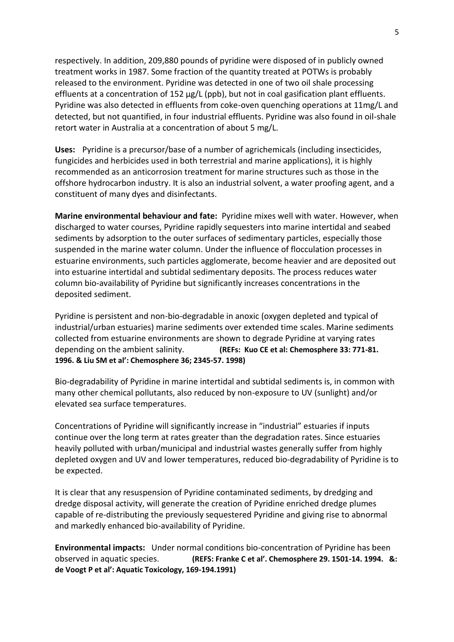respectively. In addition, 209,880 pounds of pyridine were disposed of in publicly owned treatment works in 1987. Some fraction of the quantity treated at POTWs is probably released to the environment. Pyridine was detected in one of two oil shale processing effluents at a concentration of 152 μg/L (ppb), but not in coal gasification plant effluents. Pyridine was also detected in effluents from coke-oven quenching operations at 11mg/L and detected, but not quantified, in four industrial effluents. Pyridine was also found in oil-shale retort water in Australia at a concentration of about 5 mg/L.

**Uses:** Pyridine is a precursor/base of a number of agrichemicals (including insecticides, fungicides and herbicides used in both terrestrial and marine applications), it is highly recommended as an anticorrosion treatment for marine structures such as those in the offshore hydrocarbon industry. It is also an industrial solvent, a water proofing agent, and a constituent of many dyes and disinfectants.

**Marine environmental behaviour and fate:** Pyridine mixes well with water. However, when discharged to water courses, Pyridine rapidly sequesters into marine intertidal and seabed sediments by adsorption to the outer surfaces of sedimentary particles, especially those suspended in the marine water column. Under the influence of flocculation processes in estuarine environments, such particles agglomerate, become heavier and are deposited out into estuarine intertidal and subtidal sedimentary deposits. The process reduces water column bio-availability of Pyridine but significantly increases concentrations in the deposited sediment.

Pyridine is persistent and non-bio-degradable in anoxic (oxygen depleted and typical of industrial/urban estuaries) marine sediments over extended time scales. Marine sediments collected from estuarine environments are shown to degrade Pyridine at varying rates depending on the ambient salinity. **(REFs: Kuo CE et al: Chemosphere 33: 771-81. 1996. & Liu SM et al': Chemosphere 36; 2345-57. 1998)**

Bio-degradability of Pyridine in marine intertidal and subtidal sediments is, in common with many other chemical pollutants, also reduced by non-exposure to UV (sunlight) and/or elevated sea surface temperatures.

Concentrations of Pyridine will significantly increase in "industrial" estuaries if inputs continue over the long term at rates greater than the degradation rates. Since estuaries heavily polluted with urban/municipal and industrial wastes generally suffer from highly depleted oxygen and UV and lower temperatures, reduced bio-degradability of Pyridine is to be expected.

It is clear that any resuspension of Pyridine contaminated sediments, by dredging and dredge disposal activity, will generate the creation of Pyridine enriched dredge plumes capable of re-distributing the previously sequestered Pyridine and giving rise to abnormal and markedly enhanced bio-availability of Pyridine.

**Environmental impacts:** Under normal conditions bio-concentration of Pyridine has been observed in aquatic species. **(REFS: Franke C et al'. Chemosphere 29. 1501-14. 1994. &: de Voogt P et al': Aquatic Toxicology, 169-194.1991)**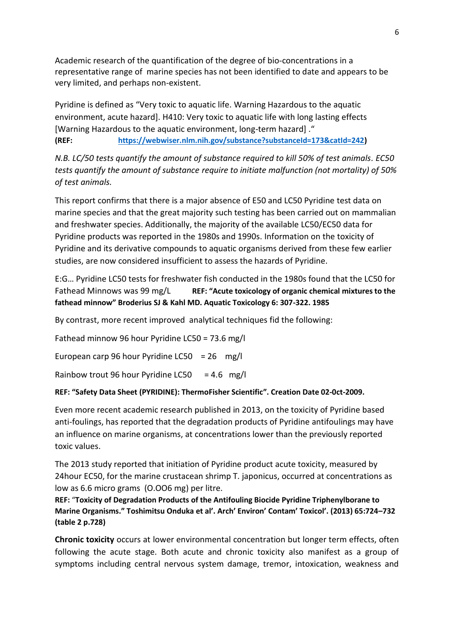Academic research of the quantification of the degree of bio-concentrations in a representative range of marine species has not been identified to date and appears to be very limited, and perhaps non-existent.

Pyridine is defined as "Very toxic to aquatic life. Warning Hazardous to the aquatic environment, acute hazard]. H410: Very toxic to aquatic life with long lasting effects [Warning Hazardous to the aquatic environment, long-term hazard] ." **(REF: [https://webwiser.nlm.nih.gov/substance?substanceId=173&catId=242\)](https://webwiser.nlm.nih.gov/substance?substanceId=173&catId=242)** 

*N.B. LC/50 tests quantify the amount of substance required to kill 50% of test animals. EC50 tests quantify the amount of substance require to initiate malfunction (not mortality) of 50% of test animals.*

This report confirms that there is a major absence of E50 and LC50 Pyridine test data on marine species and that the great majority such testing has been carried out on mammalian and freshwater species. Additionally, the majority of the available LC50/EC50 data for Pyridine products was reported in the 1980s and 1990s. Information on the toxicity of Pyridine and its derivative compounds to aquatic organisms derived from these few earlier studies, are now considered insufficient to assess the hazards of Pyridine.

E:G… Pyridine LC50 tests for freshwater fish conducted in the 1980s found that the LC50 for Fathead Minnows was 99 mg/L **REF: "Acute toxicology of organic chemical mixtures to the fathead minnow" Broderius SJ & Kahl MD. Aquatic Toxicology 6: 307-322. 1985**

By contrast, more recent improved analytical techniques fid the following:

Fathead minnow 96 hour Pyridine LC50 = 73.6 mg/l

European carp 96 hour Pyridine LC50 =  $26$  mg/l

Rainbow trout 96 hour Pyridine LC50 = 4.6 mg/l

#### **REF: "Safety Data Sheet (PYRIDINE): ThermoFisher Scientific". Creation Date 02-0ct-2009.**

Even more recent academic research published in 2013, on the toxicity of Pyridine based anti-foulings, has reported that the degradation products of Pyridine antifoulings may have an influence on marine organisms, at concentrations lower than the previously reported toxic values.

The 2013 study reported that initiation of Pyridine product acute toxicity, measured by 24hour EC50, for the marine crustacean shrimp T. japonicus, occurred at concentrations as low as 6.6 micro grams (O.OO6 mg) per litre.

**REF:** "**Toxicity of Degradation Products of the Antifouling Biocide Pyridine Triphenylborane to Marine Organisms." Toshimitsu Onduka et al'. Arch' Environ' Contam' Toxicol'. (2013) 65:724–732 (table 2 p.728)**

**Chronic toxicity** occurs at lower environmental concentration but longer term effects, often following the acute stage. Both acute and chronic toxicity also manifest as a group of symptoms including central nervous system damage, tremor, intoxication, weakness and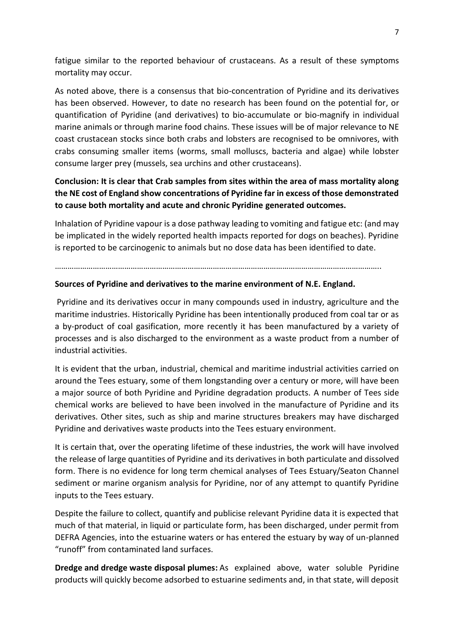fatigue similar to the reported behaviour of crustaceans. As a result of these symptoms mortality may occur.

As noted above, there is a consensus that bio-concentration of Pyridine and its derivatives has been observed. However, to date no research has been found on the potential for, or quantification of Pyridine (and derivatives) to bio-accumulate or bio-magnify in individual marine animals or through marine food chains. These issues will be of major relevance to NE coast crustacean stocks since both crabs and lobsters are recognised to be omnivores, with crabs consuming smaller items (worms, small molluscs, bacteria and algae) while lobster consume larger prey (mussels, sea urchins and other crustaceans).

## **Conclusion: It is clear that Crab samples from sites within the area of mass mortality along the NE cost of England show concentrations of Pyridine far in excess of those demonstrated to cause both mortality and acute and chronic Pyridine generated outcomes.**

Inhalation of Pyridine vapour is a dose pathway leading to vomiting and fatigue etc: (and may be implicated in the widely reported health impacts reported for dogs on beaches). Pyridine is reported to be carcinogenic to animals but no dose data has been identified to date.

………………………………………………………………………………………………………………………………………..

#### **Sources of Pyridine and derivatives to the marine environment of N.E. England.**

Pyridine and its derivatives occur in many compounds used in industry, agriculture and the maritime industries. Historically Pyridine has been intentionally produced from coal tar or as a by-product of coal gasification, more recently it has been manufactured by a variety of processes and is also discharged to the environment as a waste product from a number of industrial activities.

It is evident that the urban, industrial, chemical and maritime industrial activities carried on around the Tees estuary, some of them longstanding over a century or more, will have been a major source of both Pyridine and Pyridine degradation products. A number of Tees side chemical works are believed to have been involved in the manufacture of Pyridine and its derivatives. Other sites, such as ship and marine structures breakers may have discharged Pyridine and derivatives waste products into the Tees estuary environment.

It is certain that, over the operating lifetime of these industries, the work will have involved the release of large quantities of Pyridine and its derivatives in both particulate and dissolved form. There is no evidence for long term chemical analyses of Tees Estuary/Seaton Channel sediment or marine organism analysis for Pyridine, nor of any attempt to quantify Pyridine inputs to the Tees estuary.

Despite the failure to collect, quantify and publicise relevant Pyridine data it is expected that much of that material, in liquid or particulate form, has been discharged, under permit from DEFRA Agencies, into the estuarine waters or has entered the estuary by way of un-planned "runoff" from contaminated land surfaces.

**Dredge and dredge waste disposal plumes:** As explained above, water soluble Pyridine products will quickly become adsorbed to estuarine sediments and, in that state, will deposit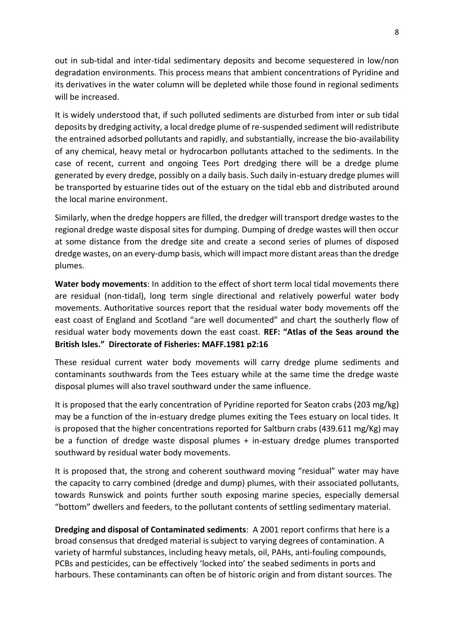out in sub-tidal and inter-tidal sedimentary deposits and become sequestered in low/non degradation environments. This process means that ambient concentrations of Pyridine and its derivatives in the water column will be depleted while those found in regional sediments will be increased.

It is widely understood that, if such polluted sediments are disturbed from inter or sub tidal deposits by dredging activity, a local dredge plume of re-suspended sediment will redistribute the entrained adsorbed pollutants and rapidly, and substantially, increase the bio-availability of any chemical, heavy metal or hydrocarbon pollutants attached to the sediments. In the case of recent, current and ongoing Tees Port dredging there will be a dredge plume generated by every dredge, possibly on a daily basis. Such daily in-estuary dredge plumes will be transported by estuarine tides out of the estuary on the tidal ebb and distributed around the local marine environment.

Similarly, when the dredge hoppers are filled, the dredger will transport dredge wastes to the regional dredge waste disposal sites for dumping. Dumping of dredge wastes will then occur at some distance from the dredge site and create a second series of plumes of disposed dredge wastes, on an every-dump basis, which will impact more distant areas than the dredge plumes.

**Water body movements**: In addition to the effect of short term local tidal movements there are residual (non-tidal), long term single directional and relatively powerful water body movements. Authoritative sources report that the residual water body movements off the east coast of England and Scotland "are well documented" and chart the southerly flow of residual water body movements down the east coast. **REF: "Atlas of the Seas around the British Isles." Directorate of Fisheries: MAFF.1981 p2:16**

These residual current water body movements will carry dredge plume sediments and contaminants southwards from the Tees estuary while at the same time the dredge waste disposal plumes will also travel southward under the same influence.

It is proposed that the early concentration of Pyridine reported for Seaton crabs (203 mg/kg) may be a function of the in-estuary dredge plumes exiting the Tees estuary on local tides. It is proposed that the higher concentrations reported for Saltburn crabs (439.611 mg/Kg) may be a function of dredge waste disposal plumes + in-estuary dredge plumes transported southward by residual water body movements.

It is proposed that, the strong and coherent southward moving "residual" water may have the capacity to carry combined (dredge and dump) plumes, with their associated pollutants, towards Runswick and points further south exposing marine species, especially demersal "bottom" dwellers and feeders, to the pollutant contents of settling sedimentary material.

**Dredging and disposal of Contaminated sediments**: A 2001 report confirms that here is a broad consensus that dredged material is subject to varying degrees of contamination. A variety of harmful substances, including heavy metals, oil, PAHs, anti-fouling compounds, PCBs and pesticides, can be effectively 'locked into' the seabed sediments in ports and harbours. These contaminants can often be of historic origin and from distant sources. The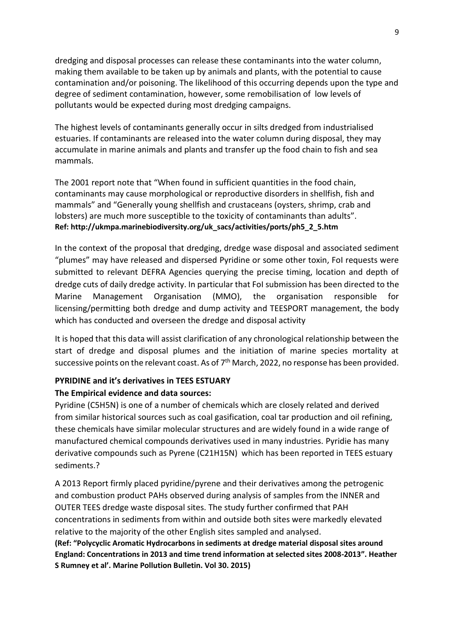dredging and disposal processes can release these contaminants into the water column, making them available to be taken up by animals and plants, with the potential to cause contamination and/or poisoning. The likelihood of this occurring depends upon the type and degree of sediment contamination, however, some remobilisation of low levels of pollutants would be expected during most dredging campaigns.

The highest levels of contaminants generally occur in silts dredged from industrialised estuaries. If contaminants are released into the water column during disposal, they may accumulate in marine animals and plants and transfer up the food chain to fish and sea mammals.

The 2001 report note that "When found in sufficient quantities in the food chain, contaminants may cause morphological or reproductive disorders in shellfish, fish and mammals" and "Generally young shellfish and crustaceans (oysters, shrimp, crab and lobsters) are much more susceptible to the toxicity of contaminants than adults". **Ref: http://ukmpa.marinebiodiversity.org/uk\_sacs/activities/ports/ph5\_2\_5.htm**

In the context of the proposal that dredging, dredge wase disposal and associated sediment "plumes" may have released and dispersed Pyridine or some other toxin, FoI requests were submitted to relevant DEFRA Agencies querying the precise timing, location and depth of dredge cuts of daily dredge activity. In particular that FoI submission has been directed to the Marine Management Organisation (MMO), the organisation responsible for licensing/permitting both dredge and dump activity and TEESPORT management, the body which has conducted and overseen the dredge and disposal activity

It is hoped that this data will assist clarification of any chronological relationship between the start of dredge and disposal plumes and the initiation of marine species mortality at successive points on the relevant coast. As of 7<sup>th</sup> March, 2022, no response has been provided.

## **PYRIDINE and it's derivatives in TEES ESTUARY**

### **The Empirical evidence and data sources:**

Pyridine (C5H5N) is one of a number of chemicals which are closely related and derived from similar historical sources such as coal gasification, coal tar production and oil refining, these chemicals have similar molecular structures and are widely found in a wide range of manufactured chemical compounds derivatives used in many industries. Pyridie has many derivative compounds such as Pyrene (C21H15N) which has been reported in TEES estuary sediments.?

A 2013 Report firmly placed pyridine/pyrene and their derivatives among the petrogenic and combustion product PAHs observed during analysis of samples from the INNER and OUTER TEES dredge waste disposal sites. The study further confirmed that PAH concentrations in sediments from within and outside both sites were markedly elevated relative to the majority of the other English sites sampled and analysed.

**(Ref: "Polycyclic Aromatic Hydrocarbons in sediments at dredge material disposal sites around England: Concentrations in 2013 and time trend information at selected sites 2008-2013". Heather S Rumney et al'. Marine Pollution Bulletin. Vol 30. 2015)**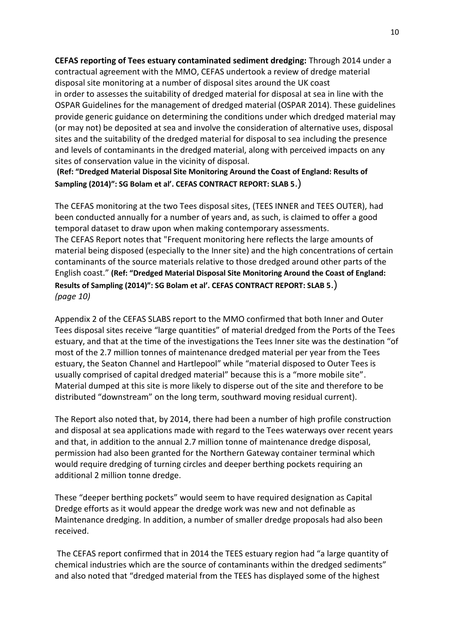**CEFAS reporting of Tees estuary contaminated sediment dredging:** Through 2014 under a contractual agreement with the MMO, CEFAS undertook a review of dredge material disposal site monitoring at a number of disposal sites around the UK coast in order to assesses the suitability of dredged material for disposal at sea in line with the OSPAR Guidelines for the management of dredged material (OSPAR 2014). These guidelines provide generic guidance on determining the conditions under which dredged material may (or may not) be deposited at sea and involve the consideration of alternative uses, disposal sites and the suitability of the dredged material for disposal to sea including the presence and levels of contaminants in the dredged material, along with perceived impacts on any sites of conservation value in the vicinity of disposal.

**(Ref: "Dredged Material Disposal Site Monitoring Around the Coast of England: Results of Sampling (2014)": SG Bolam et al'. CEFAS CONTRACT REPORT: SLAB 5**.)

The CEFAS monitoring at the two Tees disposal sites, (TEES INNER and TEES OUTER), had been conducted annually for a number of years and, as such, is claimed to offer a good temporal dataset to draw upon when making contemporary assessments. The CEFAS Report notes that "Frequent monitoring here reflects the large amounts of material being disposed (especially to the Inner site) and the high concentrations of certain contaminants of the source materials relative to those dredged around other parts of the English coast." **(Ref: "Dredged Material Disposal Site Monitoring Around the Coast of England: Results of Sampling (2014)": SG Bolam et al'. CEFAS CONTRACT REPORT: SLAB 5**.) *(page 10)*

Appendix 2 of the CEFAS SLABS report to the MMO confirmed that both Inner and Outer Tees disposal sites receive "large quantities" of material dredged from the Ports of the Tees estuary, and that at the time of the investigations the Tees Inner site was the destination "of most of the 2.7 million tonnes of maintenance dredged material per year from the Tees estuary, the Seaton Channel and Hartlepool" while "material disposed to Outer Tees is usually comprised of capital dredged material" because this is a "more mobile site". Material dumped at this site is more likely to disperse out of the site and therefore to be distributed "downstream" on the long term, southward moving residual current).

The Report also noted that, by 2014, there had been a number of high profile construction and disposal at sea applications made with regard to the Tees waterways over recent years and that, in addition to the annual 2.7 million tonne of maintenance dredge disposal, permission had also been granted for the Northern Gateway container terminal which would require dredging of turning circles and deeper berthing pockets requiring an additional 2 million tonne dredge.

These "deeper berthing pockets" would seem to have required designation as Capital Dredge efforts as it would appear the dredge work was new and not definable as Maintenance dredging. In addition, a number of smaller dredge proposals had also been received.

The CEFAS report confirmed that in 2014 the TEES estuary region had "a large quantity of chemical industries which are the source of contaminants within the dredged sediments" and also noted that "dredged material from the TEES has displayed some of the highest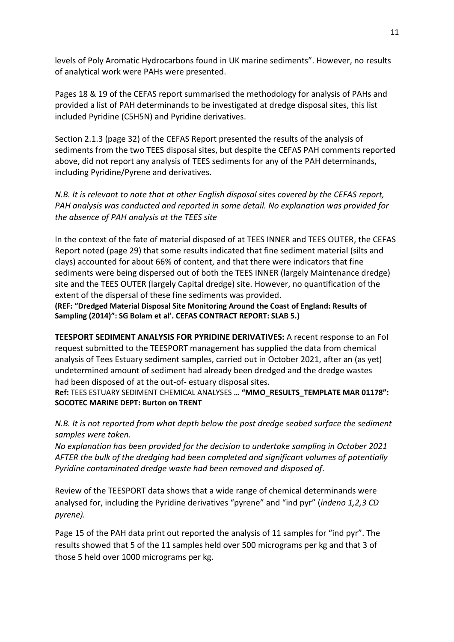levels of Poly Aromatic Hydrocarbons found in UK marine sediments". However, no results of analytical work were PAHs were presented.

Pages 18 & 19 of the CEFAS report summarised the methodology for analysis of PAHs and provided a list of PAH determinands to be investigated at dredge disposal sites, this list included Pyridine (C5H5N) and Pyridine derivatives.

Section 2.1.3 (page 32) of the CEFAS Report presented the results of the analysis of sediments from the two TEES disposal sites, but despite the CEFAS PAH comments reported above, did not report any analysis of TEES sediments for any of the PAH determinands, including Pyridine/Pyrene and derivatives.

*N.B. It is relevant to note that at other English disposal sites covered by the CEFAS report, PAH analysis was conducted and reported in some detail. No explanation was provided for the absence of PAH analysis at the TEES site*

In the context of the fate of material disposed of at TEES INNER and TEES OUTER, the CEFAS Report noted (page 29) that some results indicated that fine sediment material (silts and clays) accounted for about 66% of content, and that there were indicators that fine sediments were being dispersed out of both the TEES INNER (largely Maintenance dredge) site and the TEES OUTER (largely Capital dredge) site. However, no quantification of the extent of the dispersal of these fine sediments was provided.

**(REF: "Dredged Material Disposal Site Monitoring Around the Coast of England: Results of Sampling (2014)": SG Bolam et al'. CEFAS CONTRACT REPORT: SLAB 5.)**

**TEESPORT SEDIMENT ANALYSIS FOR PYRIDINE DERIVATIVES:** A recent response to an FoI request submitted to the TEESPORT management has supplied the data from chemical analysis of Tees Estuary sediment samples, carried out in October 2021, after an (as yet) undetermined amount of sediment had already been dredged and the dredge wastes had been disposed of at the out-of- estuary disposal sites.

**Ref:** TEES ESTUARY SEDIMENT CHEMICAL ANALYSES **… "MMO\_RESULTS\_TEMPLATE MAR 01178": SOCOTEC MARINE DEPT: Burton on TRENT**

*N.B. It is not reported from what depth below the post dredge seabed surface the sediment samples were taken.* 

*No explanation has been provided for the decision to undertake sampling in October 2021 AFTER the bulk of the dredging had been completed and significant volumes of potentially Pyridine contaminated dredge waste had been removed and disposed of.*

Review of the TEESPORT data shows that a wide range of chemical determinands were analysed for, including the Pyridine derivatives "pyrene" and "ind pyr" (*indeno 1,2,3 CD pyrene).*

Page 15 of the PAH data print out reported the analysis of 11 samples for "ind pyr". The results showed that 5 of the 11 samples held over 500 micrograms per kg and that 3 of those 5 held over 1000 micrograms per kg.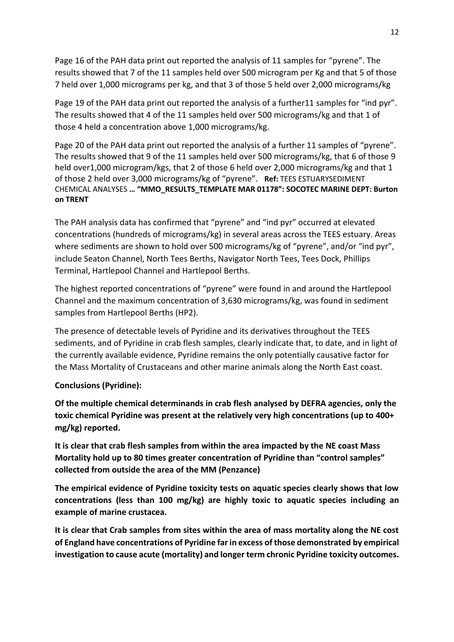Page 16 of the PAH data print out reported the analysis of 11 samples for "pyrene". The results showed that 7 of the 11 samples held over 500 microgram per Kg and that 5 of those 7 held over 1,000 micrograms per kg, and that 3 of those 5 held over 2,000 micrograms/kg

Page 19 of the PAH data print out reported the analysis of a further11 samples for "ind pyr". The results showed that 4 of the 11 samples held over 500 micrograms/kg and that 1 of those 4 held a concentration above 1,000 micrograms/kg.

Page 20 of the PAH data print out reported the analysis of a further 11 samples of "pyrene". The results showed that 9 of the 11 samples held over 500 micrograms/kg, that 6 of those 9 held over1,000 microgram/kgs, that 2 of those 6 held over 2,000 micrograms/kg and that 1 of those 2 held over 3,000 micrograms/kg of "pyrene". **Ref:** TEES ESTUARYSEDIMENT CHEMICAL ANALYSES **… "MMO\_RESULTS\_TEMPLATE MAR 01178": SOCOTEC MARINE DEPT: Burton on TRENT**

The PAH analysis data has confirmed that "pyrene" and "ind pyr" occurred at elevated concentrations (hundreds of micrograms/kg) in several areas across the TEES estuary. Areas where sediments are shown to hold over 500 micrograms/kg of "pyrene", and/or "ind pyr", include Seaton Channel, North Tees Berths, Navigator North Tees, Tees Dock, Phillips Terminal, Hartlepool Channel and Hartlepool Berths.

The highest reported concentrations of "pyrene" were found in and around the Hartlepool Channel and the maximum concentration of 3,630 micrograms/kg, was found in sediment samples from Hartlepool Berths (HP2).

The presence of detectable levels of Pyridine and its derivatives throughout the TEES sediments, and of Pyridine in crab flesh samples, clearly indicate that, to date, and in light of the currently available evidence, Pyridine remains the only potentially causative factor for the Mass Mortality of Crustaceans and other marine animals along the North East coast.

### **Conclusions (Pyridine):**

**Of the multiple chemical determinands in crab flesh analysed by DEFRA agencies, only the toxic chemical Pyridine was present at the relatively very high concentrations (up to 400+ mg/kg) reported.**

**It is clear that crab flesh samples from within the area impacted by the NE coast Mass Mortality hold up to 80 times greater concentration of Pyridine than "control samples" collected from outside the area of the MM (Penzance)**

**The empirical evidence of Pyridine toxicity tests on aquatic species clearly shows that low concentrations (less than 100 mg/kg) are highly toxic to aquatic species including an example of marine crustacea.**

**It is clear that Crab samples from sites within the area of mass mortality along the NE cost of England have concentrations of Pyridine far in excess of those demonstrated by empirical investigation to cause acute (mortality) and longer term chronic Pyridine toxicity outcomes.**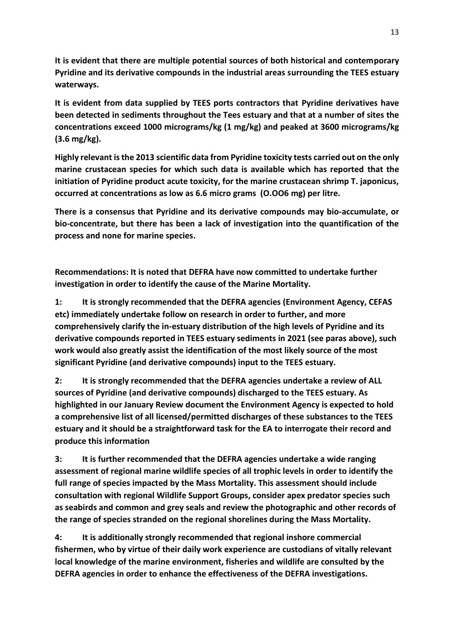**It is evident that there are multiple potential sources of both historical and contemporary Pyridine and its derivative compounds in the industrial areas surrounding the TEES estuary waterways.**

**It is evident from data supplied by TEES ports contractors that Pyridine derivatives have been detected in sediments throughout the Tees estuary and that at a number of sites the concentrations exceed 1000 micrograms/kg (1 mg/kg) and peaked at 3600 micrograms/kg (3.6 mg/kg).** 

**Highly relevant is the 2013 scientific data from Pyridine toxicity tests carried out on the only marine crustacean species for which such data is available which has reported that the initiation of Pyridine product acute toxicity, for the marine crustacean shrimp T. japonicus, occurred at concentrations as low as 6.6 micro grams (O.OO6 mg) per litre.** 

**There is a consensus that Pyridine and its derivative compounds may bio-accumulate, or bio-concentrate, but there has been a lack of investigation into the quantification of the process and none for marine species.**

**Recommendations: It is noted that DEFRA have now committed to undertake further investigation in order to identify the cause of the Marine Mortality.**

**1: It is strongly recommended that the DEFRA agencies (Environment Agency, CEFAS etc) immediately undertake follow on research in order to further, and more comprehensively clarify the in-estuary distribution of the high levels of Pyridine and its derivative compounds reported in TEES estuary sediments in 2021 (see paras above), such work would also greatly assist the identification of the most likely source of the most significant Pyridine (and derivative compounds) input to the TEES estuary.** 

**2: It is strongly recommended that the DEFRA agencies undertake a review of ALL sources of Pyridine (and derivative compounds) discharged to the TEES estuary. As highlighted in our January Review document the Environment Agency is expected to hold a comprehensive list of all licensed/permitted discharges of these substances to the TEES estuary and it should be a straightforward task for the EA to interrogate their record and produce this information**

**3: It is further recommended that the DEFRA agencies undertake a wide ranging assessment of regional marine wildlife species of all trophic levels in order to identify the full range of species impacted by the Mass Mortality. This assessment should include consultation with regional Wildlife Support Groups, consider apex predator species such as seabirds and common and grey seals and review the photographic and other records of the range of species stranded on the regional shorelines during the Mass Mortality.**

**4: It is additionally strongly recommended that regional inshore commercial fishermen, who by virtue of their daily work experience are custodians of vitally relevant local knowledge of the marine environment, fisheries and wildlife are consulted by the DEFRA agencies in order to enhance the effectiveness of the DEFRA investigations.**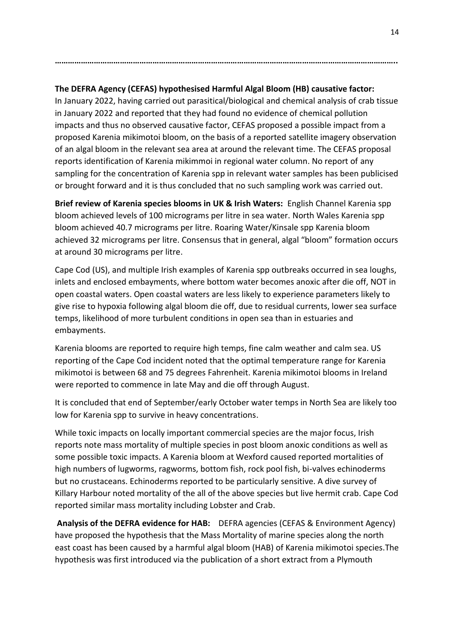## **The DEFRA Agency (CEFAS) hypothesised Harmful Algal Bloom (HB) causative factor:**

**…………………………………………………………………………………………………………………………………………..**

In January 2022, having carried out parasitical/biological and chemical analysis of crab tissue in January 2022 and reported that they had found no evidence of chemical pollution impacts and thus no observed causative factor, CEFAS proposed a possible impact from a proposed Karenia mikimotoi bloom, on the basis of a reported satellite imagery observation of an algal bloom in the relevant sea area at around the relevant time. The CEFAS proposal reports identification of Karenia mikimmoi in regional water column. No report of any sampling for the concentration of Karenia spp in relevant water samples has been publicised or brought forward and it is thus concluded that no such sampling work was carried out.

**Brief review of Karenia species blooms in UK & Irish Waters:** English Channel Karenia spp bloom achieved levels of 100 micrograms per litre in sea water. North Wales Karenia spp bloom achieved 40.7 micrograms per litre. Roaring Water/Kinsale spp Karenia bloom achieved 32 micrograms per litre. Consensus that in general, algal "bloom" formation occurs at around 30 micrograms per litre.

Cape Cod (US), and multiple Irish examples of Karenia spp outbreaks occurred in sea loughs, inlets and enclosed embayments, where bottom water becomes anoxic after die off, NOT in open coastal waters. Open coastal waters are less likely to experience parameters likely to give rise to hypoxia following algal bloom die off, due to residual currents, lower sea surface temps, likelihood of more turbulent conditions in open sea than in estuaries and embayments.

Karenia blooms are reported to require high temps, fine calm weather and calm sea. US reporting of the Cape Cod incident noted that the optimal temperature range for Karenia mikimotoi is between 68 and 75 degrees Fahrenheit. Karenia mikimotoi blooms in Ireland were reported to commence in late May and die off through August.

It is concluded that end of September/early October water temps in North Sea are likely too low for Karenia spp to survive in heavy concentrations.

While toxic impacts on locally important commercial species are the major focus, Irish reports note mass mortality of multiple species in post bloom anoxic conditions as well as some possible toxic impacts. A Karenia bloom at Wexford caused reported mortalities of high numbers of lugworms, ragworms, bottom fish, rock pool fish, bi-valves echinoderms but no crustaceans. Echinoderms reported to be particularly sensitive. A dive survey of Killary Harbour noted mortality of the all of the above species but live hermit crab. Cape Cod reported similar mass mortality including Lobster and Crab.

**Analysis of the DEFRA evidence for HAB:** DEFRA agencies (CEFAS & Environment Agency) have proposed the hypothesis that the Mass Mortality of marine species along the north east coast has been caused by a harmful algal bloom (HAB) of Karenia mikimotoi species.The hypothesis was first introduced via the publication of a short extract from a Plymouth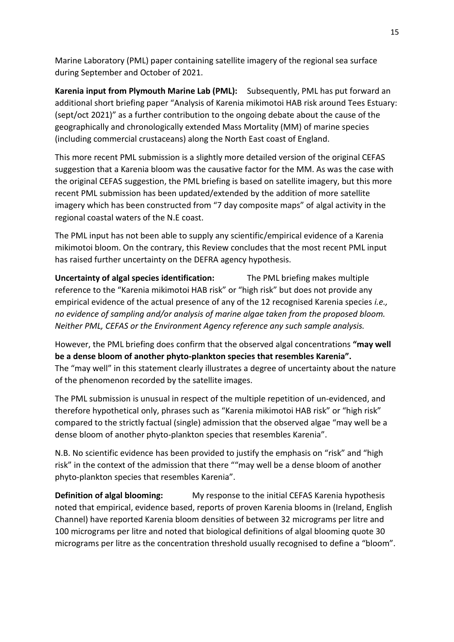Marine Laboratory (PML) paper containing satellite imagery of the regional sea surface during September and October of 2021.

**Karenia input from Plymouth Marine Lab (PML):** Subsequently, PML has put forward an additional short briefing paper "Analysis of Karenia mikimotoi HAB risk around Tees Estuary: (sept/oct 2021)" as a further contribution to the ongoing debate about the cause of the geographically and chronologically extended Mass Mortality (MM) of marine species (including commercial crustaceans) along the North East coast of England.

This more recent PML submission is a slightly more detailed version of the original CEFAS suggestion that a Karenia bloom was the causative factor for the MM. As was the case with the original CEFAS suggestion, the PML briefing is based on satellite imagery, but this more recent PML submission has been updated/extended by the addition of more satellite imagery which has been constructed from "7 day composite maps" of algal activity in the regional coastal waters of the N.E coast.

The PML input has not been able to supply any scientific/empirical evidence of a Karenia mikimotoi bloom. On the contrary, this Review concludes that the most recent PML input has raised further uncertainty on the DEFRA agency hypothesis.

**Uncertainty of algal species identification:** The PML briefing makes multiple reference to the "Karenia mikimotoi HAB risk" or "high risk" but does not provide any empirical evidence of the actual presence of any of the 12 recognised Karenia species *i.e., no evidence of sampling and/or analysis of marine algae taken from the proposed bloom. Neither PML, CEFAS or the Environment Agency reference any such sample analysis.*

However, the PML briefing does confirm that the observed algal concentrations **"may well be a dense bloom of another phyto-plankton species that resembles Karenia".**  The "may well" in this statement clearly illustrates a degree of uncertainty about the nature of the phenomenon recorded by the satellite images.

The PML submission is unusual in respect of the multiple repetition of un-evidenced, and therefore hypothetical only, phrases such as "Karenia mikimotoi HAB risk" or "high risk" compared to the strictly factual (single) admission that the observed algae "may well be a dense bloom of another phyto-plankton species that resembles Karenia".

N.B. No scientific evidence has been provided to justify the emphasis on "risk" and "high risk" in the context of the admission that there ""may well be a dense bloom of another phyto-plankton species that resembles Karenia".

**Definition of algal blooming:** My response to the initial CEFAS Karenia hypothesis noted that empirical, evidence based, reports of proven Karenia blooms in (Ireland, English Channel) have reported Karenia bloom densities of between 32 micrograms per litre and 100 micrograms per litre and noted that biological definitions of algal blooming quote 30 micrograms per litre as the concentration threshold usually recognised to define a "bloom".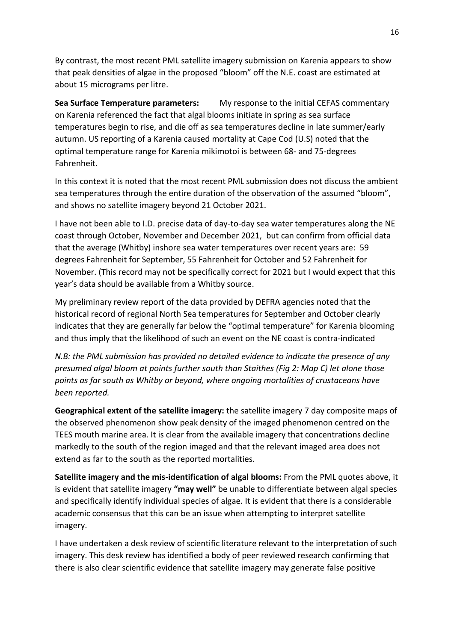By contrast, the most recent PML satellite imagery submission on Karenia appears to show that peak densities of algae in the proposed "bloom" off the N.E. coast are estimated at about 15 micrograms per litre.

**Sea Surface Temperature parameters:** My response to the initial CEFAS commentary on Karenia referenced the fact that algal blooms initiate in spring as sea surface temperatures begin to rise, and die off as sea temperatures decline in late summer/early autumn. US reporting of a Karenia caused mortality at Cape Cod (U.S) noted that the optimal temperature range for Karenia mikimotoi is between 68- and 75-degrees Fahrenheit.

In this context it is noted that the most recent PML submission does not discuss the ambient sea temperatures through the entire duration of the observation of the assumed "bloom", and shows no satellite imagery beyond 21 October 2021.

I have not been able to I.D. precise data of day-to-day sea water temperatures along the NE coast through October, November and December 2021, but can confirm from official data that the average (Whitby) inshore sea water temperatures over recent years are: 59 degrees Fahrenheit for September, 55 Fahrenheit for October and 52 Fahrenheit for November. (This record may not be specifically correct for 2021 but I would expect that this year's data should be available from a Whitby source.

My preliminary review report of the data provided by DEFRA agencies noted that the historical record of regional North Sea temperatures for September and October clearly indicates that they are generally far below the "optimal temperature" for Karenia blooming and thus imply that the likelihood of such an event on the NE coast is contra-indicated

*N.B: the PML submission has provided no detailed evidence to indicate the presence of any presumed algal bloom at points further south than Staithes (Fig 2: Map C) let alone those points as far south as Whitby or beyond, where ongoing mortalities of crustaceans have been reported.*

**Geographical extent of the satellite imagery:** the satellite imagery 7 day composite maps of the observed phenomenon show peak density of the imaged phenomenon centred on the TEES mouth marine area. It is clear from the available imagery that concentrations decline markedly to the south of the region imaged and that the relevant imaged area does not extend as far to the south as the reported mortalities.

**Satellite imagery and the mis-identification of algal blooms:** From the PML quotes above, it is evident that satellite imagery **"may well"** be unable to differentiate between algal species and specifically identify individual species of algae. It is evident that there is a considerable academic consensus that this can be an issue when attempting to interpret satellite imagery.

I have undertaken a desk review of scientific literature relevant to the interpretation of such imagery. This desk review has identified a body of peer reviewed research confirming that there is also clear scientific evidence that satellite imagery may generate false positive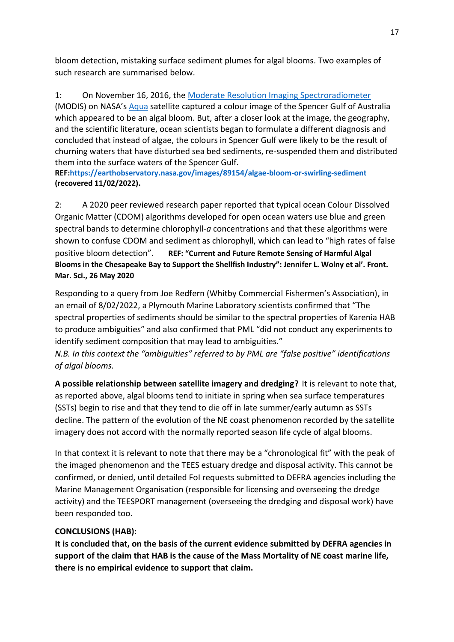bloom detection, mistaking surface sediment plumes for algal blooms. Two examples of such research are summarised below.

1: On November 16, 2016, the [Moderate Resolution Imaging Spectroradiometer](http://modis.gsfc.nasa.gov/about/) (MODIS) on NASA's [Aqua](http://aqua.nasa.gov/) satellite captured a colour image of the Spencer Gulf of Australia which appeared to be an algal bloom. But, after a closer look at the image, the geography, and the scientific literature, ocean scientists began to formulate a different diagnosis and concluded that instead of algae, the colours in Spencer Gulf were likely to be the result of churning waters that have disturbed sea bed sediments, re-suspended them and distributed them into the surface waters of the Spencer Gulf.

**REF[:https://earthobservatory.nasa.gov/images/89154/algae-bloom-or-swirling-sediment](https://earthobservatory.nasa.gov/images/89154/algae-bloom-or-swirling-sediment) (recovered 11/02/2022).**

2: A 2020 peer reviewed research paper reported that typical ocean Colour Dissolved Organic Matter (CDOM) algorithms developed for open ocean waters use blue and green spectral bands to determine chlorophyll-*a* concentrations and that these algorithms were shown to confuse CDOM and sediment as chlorophyll, which can lead to "high rates of false positive bloom detection". **REF: "Current and Future Remote Sensing of Harmful Algal Blooms in the Chesapeake Bay to Support the Shellfish Industry": Jennifer L. Wolny et al'. Front. Mar. Sci., 26 May 2020**

Responding to a query from Joe Redfern (Whitby Commercial Fishermen's Association), in an email of 8/02/2022, a Plymouth Marine Laboratory scientists confirmed that "The spectral properties of sediments should be similar to the spectral properties of Karenia HAB to produce ambiguities" and also confirmed that PML "did not conduct any experiments to identify sediment composition that may lead to ambiguities."

*N.B. In this context the "ambiguities" referred to by PML are "false positive" identifications of algal blooms.*

**A possible relationship between satellite imagery and dredging?** It is relevant to note that, as reported above, algal blooms tend to initiate in spring when sea surface temperatures (SSTs) begin to rise and that they tend to die off in late summer/early autumn as SSTs decline. The pattern of the evolution of the NE coast phenomenon recorded by the satellite imagery does not accord with the normally reported season life cycle of algal blooms.

In that context it is relevant to note that there may be a "chronological fit" with the peak of the imaged phenomenon and the TEES estuary dredge and disposal activity. This cannot be confirmed, or denied, until detailed FoI requests submitted to DEFRA agencies including the Marine Management Organisation (responsible for licensing and overseeing the dredge activity) and the TEESPORT management (overseeing the dredging and disposal work) have been responded too.

## **CONCLUSIONS (HAB):**

**It is concluded that, on the basis of the current evidence submitted by DEFRA agencies in support of the claim that HAB is the cause of the Mass Mortality of NE coast marine life, there is no empirical evidence to support that claim.**